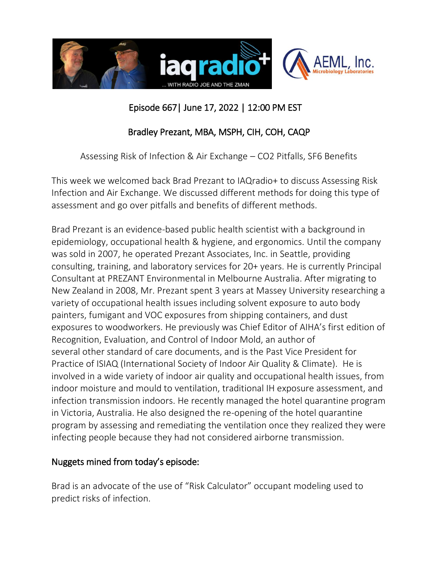

# Episode 667| June 17, 2022 | 12:00 PM EST

# Bradley Prezant, MBA, MSPH, CIH, COH, CAQP

Assessing Risk of Infection & Air Exchange – CO2 Pitfalls, SF6 Benefits

This week we welcomed back Brad Prezant to IAQradio+ to discuss Assessing Risk Infection and Air Exchange. We discussed different methods for doing this type of assessment and go over pitfalls and benefits of different methods.

Brad Prezant is an evidence-based public health scientist with a background in epidemiology, occupational health & hygiene, and ergonomics. Until the company was sold in 2007, he operated Prezant Associates, Inc. in Seattle, providing consulting, training, and laboratory services for 20+ years. He is currently Principal Consultant at PREZANT Environmental in Melbourne Australia. After migrating to New Zealand in 2008, Mr. Prezant spent 3 years at Massey University researching a variety of occupational health issues including solvent exposure to auto body painters, fumigant and VOC exposures from shipping containers, and dust exposures to woodworkers. He previously was Chief Editor of AIHA's first edition of Recognition, Evaluation, and Control of Indoor Mold, an author of several other standard of care documents, and is the Past Vice President for Practice of ISIAQ (International Society of Indoor Air Quality & Climate). He is involved in a wide variety of indoor air quality and occupational health issues, from indoor moisture and mould to ventilation, traditional IH exposure assessment, and infection transmission indoors. He recently managed the hotel quarantine program in Victoria, Australia. He also designed the re-opening of the hotel quarantine program by assessing and remediating the ventilation once they realized they were infecting people because they had not considered airborne transmission.

## Nuggets mined from today's episode:

Brad is an advocate of the use of "Risk Calculator" occupant modeling used to predict risks of infection.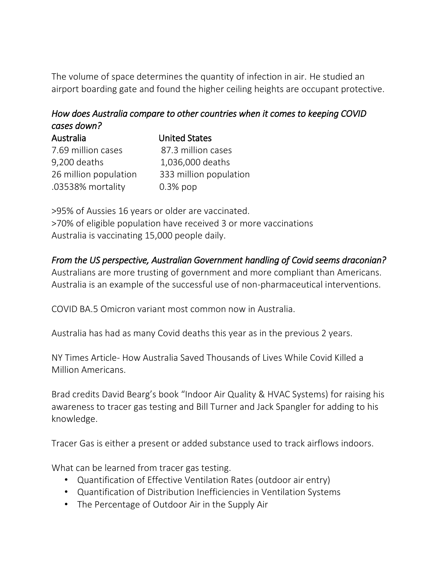The volume of space determines the quantity of infection in air. He studied an airport boarding gate and found the higher ceiling heights are occupant protective.

# *How does Australia compare to other countries when it comes to keeping COVID cases down?*

| <b>Australia</b>      | <b>United States</b>   |
|-----------------------|------------------------|
| 7.69 million cases    | 87.3 million cases     |
| 9,200 deaths          | 1,036,000 deaths       |
| 26 million population | 333 million population |
| .03538% mortality     | $0.3\%$ pop            |

>95% of Aussies 16 years or older are vaccinated. >70% of eligible population have received 3 or more vaccinations Australia is vaccinating 15,000 people daily.

#### *From the US perspective, Australian Government handling of Covid seems draconian?*

Australians are more trusting of government and more compliant than Americans. Australia is an example of the successful use of non-pharmaceutical interventions.

COVID BA.5 Omicron variant most common now in Australia.

Australia has had as many Covid deaths this year as in the previous 2 years.

NY Times Article- How Australia Saved Thousands of Lives While Covid Killed a Million Americans.

Brad credits David Bearg's book "Indoor Air Quality & HVAC Systems) for raising his awareness to tracer gas testing and Bill Turner and Jack Spangler for adding to his knowledge.

Tracer Gas is either a present or added substance used to track airflows indoors.

What can be learned from tracer gas testing.

- Quantification of Effective Ventilation Rates (outdoor air entry)
- Quantification of Distribution Inefficiencies in Ventilation Systems
- The Percentage of Outdoor Air in the Supply Air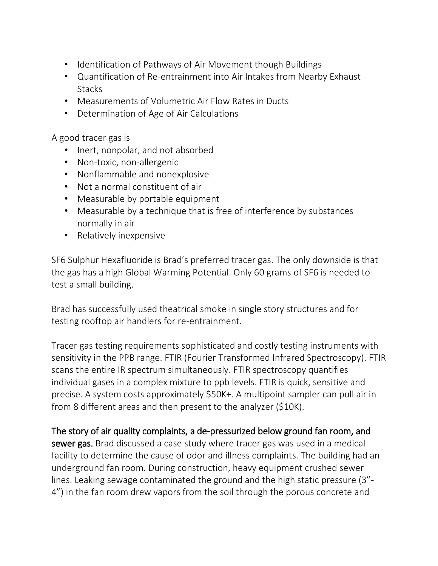- Identification of Pathways of Air Movement though Buildings
- Quantification of Re-entrainment into Air Intakes from Nearby Exhaust **Stacks**
- Measurements of Volumetric Air Flow Rates in Ducts
- Determination of Age of Air Calculations

A good tracer gas is

- Inert, nonpolar, and not absorbed
- Non-toxic, non-allergenic
- Nonflammable and nonexplosive
- Not a normal constituent of air
- Measurable by portable equipment
- Measurable by a technique that is free of interference by substances normally in air
- Relatively inexpensive

SF6 Sulphur Hexafluoride is Brad's preferred tracer gas. The only downside is that the gas has a high Global Warming Potential. Only 60 grams of SF6 is needed to test a small building.

Brad has successfully used theatrical smoke in single story structures and for testing rooftop air handlers for re-entrainment.

Tracer gas testing requirements sophisticated and costly testing instruments with sensitivity in the PPB range. FTIR (Fourier Transformed Infrared Spectroscopy). FTIR scans the entire IR spectrum simultaneously. FTIR spectroscopy quantifies individual gases in a complex mixture to ppb levels. FTIR is quick, sensitive and precise. A system costs approximately \$50K+. A multipoint sampler can pull air in from 8 different areas and then present to the analyzer (\$10K).

The story of air quality complaints, a de-pressurized below ground fan room, and sewer gas. Brad discussed a case study where tracer gas was used in a medical facility to determine the cause of odor and illness complaints. The building had an underground fan room. During construction, heavy equipment crushed sewer lines. Leaking sewage contaminated the ground and the high static pressure (3"- 4") in the fan room drew vapors from the soil through the porous concrete and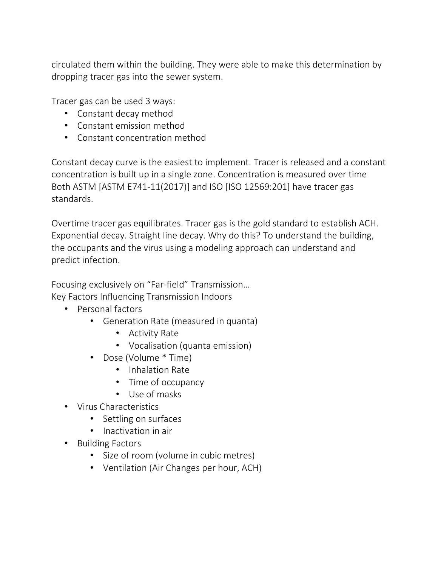circulated them within the building. They were able to make this determination by dropping tracer gas into the sewer system.

Tracer gas can be used 3 ways:

- Constant decay method
- Constant emission method
- Constant concentration method

Constant decay curve is the easiest to implement. Tracer is released and a constant concentration is built up in a single zone. Concentration is measured over time Both ASTM [ASTM E741-11(2017)] and ISO [ISO 12569:201] have tracer gas standards.

Overtime tracer gas equilibrates. Tracer gas is the gold standard to establish ACH. Exponential decay. Straight line decay. Why do this? To understand the building, the occupants and the virus using a modeling approach can understand and predict infection.

Focusing exclusively on "Far-field" Transmission… Key Factors Influencing Transmission Indoors

- Personal factors
	- Generation Rate (measured in quanta)
		- Activity Rate
		- Vocalisation (quanta emission)
	- Dose (Volume \* Time)
		- Inhalation Rate
		- Time of occupancy
		- Use of masks
- Virus Characteristics
	- Settling on surfaces
	- Inactivation in air
- Building Factors
	- Size of room (volume in cubic metres)
	- Ventilation (Air Changes per hour, ACH)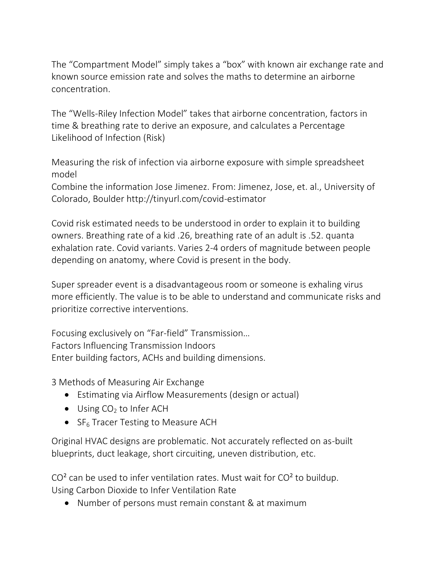The "Compartment Model" simply takes a "box" with known air exchange rate and known source emission rate and solves the maths to determine an airborne concentration.

The "Wells-Riley Infection Model" takes that airborne concentration, factors in time & breathing rate to derive an exposure, and calculates a Percentage Likelihood of Infection (Risk)

Measuring the risk of infection via airborne exposure with simple spreadsheet model

Combine the information Jose Jimenez. From: Jimenez, Jose, et. al., University of Colorado, Boulder http://tinyurl.com/covid-estimator

Covid risk estimated needs to be understood in order to explain it to building owners. Breathing rate of a kid .26, breathing rate of an adult is .52. quanta exhalation rate. Covid variants. Varies 2-4 orders of magnitude between people depending on anatomy, where Covid is present in the body.

Super spreader event is a disadvantageous room or someone is exhaling virus more efficiently. The value is to be able to understand and communicate risks and prioritize corrective interventions.

Focusing exclusively on "Far-field" Transmission… Factors Influencing Transmission Indoors Enter building factors, ACHs and building dimensions.

3 Methods of Measuring Air Exchange

- Estimating via Airflow Measurements (design or actual)
- $\bullet$  Using CO<sub>2</sub> to Infer ACH
- $SF<sub>6</sub>$  Tracer Testing to Measure ACH

Original HVAC designs are problematic. Not accurately reflected on as-built blueprints, duct leakage, short circuiting, uneven distribution, etc.

 $CO<sup>2</sup>$  can be used to infer ventilation rates. Must wait for  $CO<sup>2</sup>$  to buildup. Using Carbon Dioxide to Infer Ventilation Rate

Number of persons must remain constant & at maximum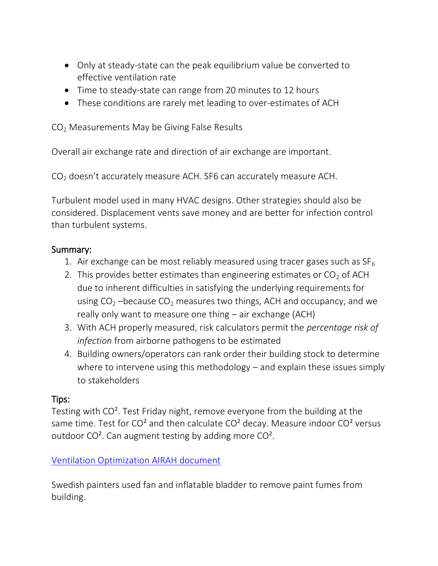- Only at steady-state can the peak equilibrium value be converted to effective ventilation rate
- Time to steady-state can range from 20 minutes to 12 hours
- These conditions are rarely met leading to over-estimates of ACH

CO<sup>2</sup> Measurements May be Giving False Results

Overall air exchange rate and direction of air exchange are important.

CO<sup>2</sup> doesn't accurately measure ACH. SF6 can accurately measure ACH.

Turbulent model used in many HVAC designs. Other strategies should also be considered. Displacement vents save money and are better for infection control than turbulent systems.

#### Summary:

- 1. Air exchange can be most reliably measured using tracer gases such as  $SF<sub>6</sub>$
- 2. This provides better estimates than engineering estimates or  $CO<sub>2</sub>$  of ACH due to inherent difficulties in satisfying the underlying requirements for using  $CO<sub>2</sub>$  –because  $CO<sub>2</sub>$  measures two things, ACH and occupancy, and we really only want to measure one thing – air exchange (ACH)
- 3. With ACH properly measured, risk calculators permit the *percentage risk of infection* from airborne pathogens to be estimated
- 4. Building owners/operators can rank order their building stock to determine where to intervene using this methodology – and explain these issues simply to stakeholders

#### Tips:

Testing with CO². Test Friday night, remove everyone from the building at the same time. Test for  $CO<sup>2</sup>$  and then calculate  $CO<sup>2</sup>$  decay. Measure indoor  $CO<sup>2</sup>$  versus outdoor CO². Can augment testing by adding more CO².

## [Ventilation Optimization AIRAH document](https://www.airah.org.au/Content_Files/Resources/2021_AIRAH_COVID-19_Ventilation_Optimisation_Guide_for_Schools.pdf)

Swedish painters used fan and inflatable bladder to remove paint fumes from building.